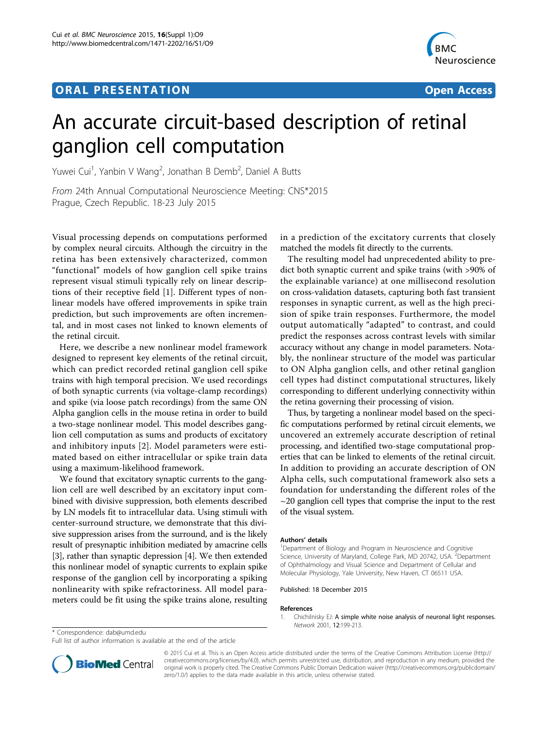# **ORAL PRESENTATION OPEN ACCESS**



# An accurate circuit-based description of retinal ganglion cell computation

Yuwei Cui<sup>1</sup>, Yanbin V Wang<sup>2</sup>, Jonathan B Demb<sup>2</sup>, Daniel A Butts

From 24th Annual Computational Neuroscience Meeting: CNS\*2015 Prague, Czech Republic. 18-23 July 2015

Visual processing depends on computations performed by complex neural circuits. Although the circuitry in the retina has been extensively characterized, common "functional" models of how ganglion cell spike trains represent visual stimuli typically rely on linear descriptions of their receptive field [1]. Different types of nonlinear models have offered improvements in spike train prediction, but such improvements are often incremental, and in most cases not linked to known elements of the retinal circuit.

Here, we describe a new nonlinear model framework designed to represent key elements of the retinal circuit, which can predict recorded retinal ganglion cell spike trains with high temporal precision. We used recordings of both synaptic currents (via voltage-clamp recordings) and spike (via loose patch recordings) from the same ON Alpha ganglion cells in the mouse retina in order to build a two-stage nonlinear model. This model describes ganglion cell computation as sums and products of excitatory and inhibitory inputs [[2](#page-1-0)]. Model parameters were estimated based on either intracellular or spike train data using a maximum-likelihood framework.

We found that excitatory synaptic currents to the ganglion cell are well described by an excitatory input combined with divisive suppression, both elements described by LN models fit to intracellular data. Using stimuli with center-surround structure, we demonstrate that this divisive suppression arises from the surround, and is the likely result of presynaptic inhibition mediated by amacrine cells [[3\]](#page-1-0), rather than synaptic depression [[4\]](#page-1-0). We then extended this nonlinear model of synaptic currents to explain spike response of the ganglion cell by incorporating a spiking nonlinearity with spike refractoriness. All model parameters could be fit using the spike trains alone, resulting in a prediction of the excitatory currents that closely matched the models fit directly to the currents.

The resulting model had unprecedented ability to predict both synaptic current and spike trains (with >90% of the explainable variance) at one millisecond resolution on cross-validation datasets, capturing both fast transient responses in synaptic current, as well as the high precision of spike train responses. Furthermore, the model output automatically "adapted" to contrast, and could predict the responses across contrast levels with similar accuracy without any change in model parameters. Notably, the nonlinear structure of the model was particular to ON Alpha ganglion cells, and other retinal ganglion cell types had distinct computational structures, likely corresponding to different underlying connectivity within the retina governing their processing of vision.

Thus, by targeting a nonlinear model based on the specific computations performed by retinal circuit elements, we uncovered an extremely accurate description of retinal processing, and identified two-stage computational properties that can be linked to elements of the retinal circuit. In addition to providing an accurate description of ON Alpha cells, such computational framework also sets a foundation for understanding the different roles of the  $\sim$ 20 ganglion cell types that comprise the input to the rest of the visual system.

#### Authors' details <sup>1</sup>

<sup>1</sup>Department of Biology and Program in Neuroscience and Cognitive Science, University of Maryland, College Park, MD 20742, USA. <sup>2</sup>Department of Ophthalmology and Visual Science and Department of Cellular and Molecular Physiology, Yale University, New Haven, CT 06511 USA.

#### Published: 18 December 2015

#### References

1. Chichilnisky EJ: A simple white noise analysis of neuronal light responses. Network 2001, <sup>12</sup>:199-213.

\* Correspondence: [dab@umd.edu](mailto:dab@umd.edu)

Full list of author information is available at the end of the article



© 2015 Cui et al. This is an Open Access article distributed under the terms of the Creative Commons Attribution License [\(http://](http://creativecommons.org/licenses/by/4.0) [creativecommons.org/licenses/by/4.0](http://creativecommons.org/licenses/by/4.0)), which permits unrestricted use, distribution, and reproduction in any medium, provided the original work is properly cited. The Creative Commons Public Domain Dedication waiver ([http://creativecommons.org/publicdomain/](http://creativecommons.org/publicdomain/zero/1.0/) [zero/1.0/](http://creativecommons.org/publicdomain/zero/1.0/)) applies to the data made available in this article, unless otherwise stated.